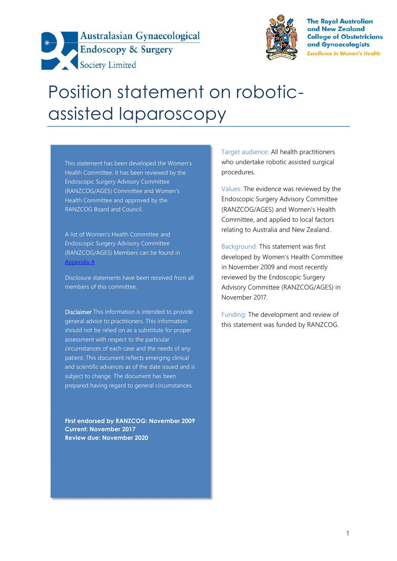



**The Royal Australian** and New Zealand **College of Obstetricians** and Gynaecologists **Excellence in Women's Health** 

# Position statement on robotic assisted laparoscopy

This statement has been developed the Women's Health Committee. It has been reviewed by the Endoscopic Surgery Advisory Committee (RANZCOG/AGES) Committee and Women's Health Committee and approved by the RANZCOG Board and Council.

A list of Women's Health Committee and Endoscopic Surgery Advisory Committee (RANZCOG/AGES) Members can be found in Appendix A.

Disclosure statements have been received from all members of this committee.

**Disclaimer** This information is intended to provide general advice to practitioners. This information should not be relied on as a substitute for proper assessment with respect to the particular circumstances of each case and the needs of any patient. This document reflects emerging clinical and scientific advances as of the date issued and is subject to change. The document has been prepared having regard to general circumstances.

**First endorsed by RANZCOG: November 2009 Current: November 2017 Review due: November 2020**

Target audience: All health practitioners who undertake robotic assisted surgical procedures.

Values: The evidence was reviewed by the Endoscopic Surgery Advisory Committee (RANZCOG/AGES) and Women's Health Committee, and applied to local factors relating to Australia and New Zealand.

Background: This statement was first developed by Women's Health Committee in November 2009 and most recently reviewed by the Endoscopic Surgery Advisory Committee (RANZCOG/AGES) in November 2017.

Funding: The development and review of this statement was funded by RANZCOG.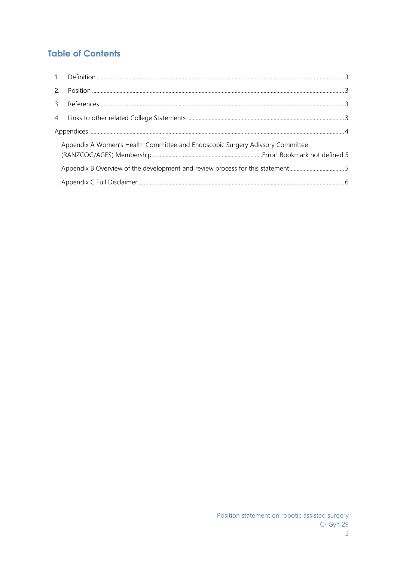# **Table of Contents**

| Appendix A Women's Health Committee and Endoscopic Surgery Adivsory Committee |  |
|-------------------------------------------------------------------------------|--|
|                                                                               |  |
|                                                                               |  |
|                                                                               |  |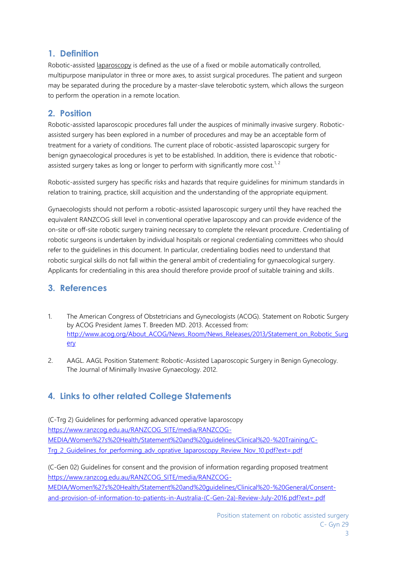## **1. Definition**

Robotic-assisted laparoscopy is defined as the use of a fixed or mobile automatically controlled, multipurpose manipulator in three or more axes, to assist surgical procedures. The patient and surgeon may be separated during the procedure by a master-slave telerobotic system, which allows the surgeon to perform the operation in a remote location.

## **2. Position**

Robotic-assisted laparoscopic procedures fall under the auspices of minimally invasive surgery. Robotic assisted surgery has been explored in a number of procedures and may be an acceptable form of treatment for a variety of conditions. The current place of robotic-assisted laparoscopic surgery for benign gynaecological procedures is yet to be established. In addition, there is evidence that robotic assisted surgery takes as long or longer to perform with significantly more cost.<sup>1, 2</sup>

Robotic-assisted surgery has specific risks and hazards that require guidelines for minimum standards in relation to training, practice, skill acquisition and the understanding of the appropriate equipment.

Gynaecologists should not perform a robotic-assisted laparoscopic surgery until they have reached the equivalent RANZCOG skill level in conventional operative laparoscopy and can provide evidence of the on-site or off-site robotic surgery training necessary to complete the relevant procedure. Credentialing of robotic surgeons is undertaken by individual hospitals or regional credentialing committees who should refer to the guidelines in this document. In particular, credentialing bodies need to understand that robotic surgical skills do not fall within the general ambit of credentialing for gynaecological surgery. Applicants for credentialing in this area should therefore provide proof of suitable training and skills.

## **3. References**

- 1. The American Congress of Obstetricians and Gynecologists (ACOG). Statement on Robotic Surgery by ACOG President James T. Breeden MD. 2013. Accessed from: http://www.acog.org/About\_ACOG/News\_Room/News\_Releases/2013/Statement\_on\_Robotic\_Surg ery
- 2. AAGL. AAGL Position Statement: Robotic-Assisted Laparoscopic Surgery in Benign Gynecology. The Journal of Minimally Invasive Gynaecology. 2012.

# **4. Links to other related College Statements**

(C-Trg 2) Guidelines for performing advanced operative laparoscopy https://www.ranzcog.edu.au/RANZCOG\_SITE/media/RANZCOG- MEDIA/Women%27s%20Health/Statement%20and%20guidelines/Clinical%20-%20Training/C- Trg\_2\_Guidelines\_for\_performing\_adv\_oprative\_laparoscopy\_Review\_Nov\_10.pdf?ext=.pdf

(C-Gen 02) Guidelines for consent and the provision of information regarding proposed treatment https://www.ranzcog.edu.au/RANZCOG\_SITE/media/RANZCOG- MEDIA/Women%27s%20Health/Statement%20and%20guidelines/Clinical%20-%20General/Consent and-provision-of-information-to-patients-in-Australia-(C-Gen-2a)-Review-July-2016.pdf?ext=.pdf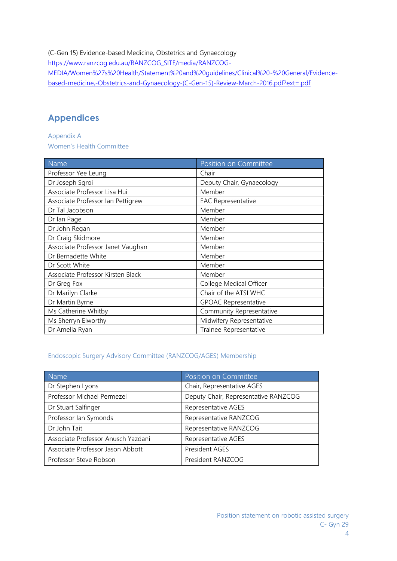(C-Gen 15) Evidence-based Medicine, Obstetrics and Gynaecology https://www.ranzcog.edu.au/RANZCOG\_SITE/media/RANZCOG-MEDIA/Women%27s%20Health/Statement%20and%20guidelines/Clinical%20-%20General/Evidence based-medicine,-Obstetrics-and-Gynaecology-(C-Gen-15)-Review-March-2016.pdf?ext=.pdf

## **Appendices**

Appendix A Women's Health Committee

| Name                              | Position on Committee       |
|-----------------------------------|-----------------------------|
| Professor Yee Leung               | Chair                       |
| Dr Joseph Sgroi                   | Deputy Chair, Gynaecology   |
| Associate Professor Lisa Hui      | Member                      |
| Associate Professor Ian Pettigrew | <b>EAC Representative</b>   |
| Dr Tal Jacobson                   | Member                      |
| Dr Ian Page                       | Member                      |
| Dr John Regan                     | Member                      |
| Dr Craig Skidmore                 | Member                      |
| Associate Professor Janet Vaughan | Member                      |
| Dr Bernadette White               | Member                      |
| Dr Scott White                    | Member                      |
| Associate Professor Kirsten Black | Member                      |
| Dr Greg Fox                       | College Medical Officer     |
| Dr Marilyn Clarke                 | Chair of the ATSI WHC       |
| Dr Martin Byrne                   | <b>GPOAC Representative</b> |
| Ms Catherine Whitby               | Community Representative    |
| Ms Sherryn Elworthy               | Midwifery Representative    |
| Dr Amelia Ryan                    | Trainee Representative      |

#### Endoscopic Surgery Advisory Committee (RANZCOG/AGES) Membership

| <b>Name</b>                        | Position on Committee                |
|------------------------------------|--------------------------------------|
| Dr Stephen Lyons                   | Chair, Representative AGES           |
| Professor Michael Permezel         | Deputy Chair, Representative RANZCOG |
| Dr Stuart Salfinger                | Representative AGES                  |
| Professor Ian Symonds              | Representative RANZCOG               |
| Dr John Tait                       | Representative RANZCOG               |
| Associate Professor Anusch Yazdani | Representative AGES                  |
| Associate Professor Jason Abbott   | President AGES                       |
| Professor Steve Robson             | President RANZCOG                    |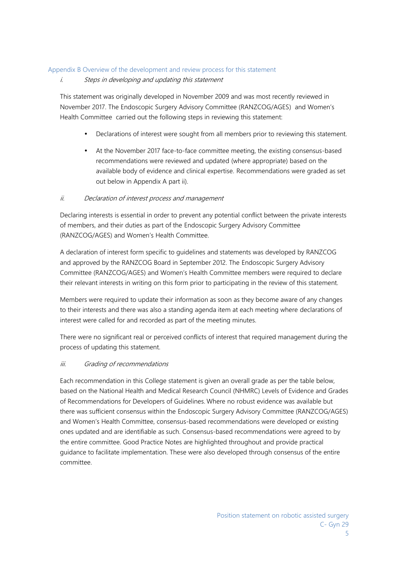#### Appendix B Overview of the development and review process for this statement

#### *i. Steps in developing and updating this statement*

This statement was originally developed in November 2009 and was most recently reviewed in November 2017. The Endoscopic Surgery Advisory Committee (RANZCOG/AGES) and Women's Health Committee carried out the following steps in reviewing this statement:

- Declarations of interest were sought from all members prior to reviewing this statement.
- At the November 2017 face-to-face committee meeting, the existing consensus-based recommendations were reviewed and updated (where appropriate) based on the available body of evidence and clinical expertise. Recommendations were graded as set out below in Appendix A part ii).

#### *ii. Declaration of interest process and management*

Declaring interests is essential in order to prevent any potential conflict between the private interests of members, and their duties as part of the Endoscopic Surgery Advisory Committee (RANZCOG/AGES) and Women's Health Committee.

A declaration of interest form specific to guidelines and statements was developed by RANZCOG and approved by the RANZCOG Board in September 2012. The Endoscopic Surgery Advisory Committee (RANZCOG/AGES) and Women's Health Committee members were required to declare their relevant interests in writing on this form prior to participating in the review of this statement.

Members were required to update their information as soon as they become aware of any changes to their interests and there was also a standing agenda item at each meeting where declarations of interest were called for and recorded as part of the meeting minutes.

There were no significant real or perceived conflicts of interest that required management during the process of updating this statement.

#### *iii. Grading of recommendations*

Each recommendation in this College statement is given an overall grade as per the table below, based on the National Health and Medical Research Council (NHMRC) Levels of Evidence and Grades of Recommendations for Developers of Guidelines. Where no robust evidence was available but there was sufficient consensus within the Endoscopic Surgery Advisory Committee (RANZCOG/AGES) and Women's Health Committee, consensus-based recommendations were developed or existing ones updated and are identifiable as such. Consensus-based recommendations were agreed to by the entire committee. Good Practice Notes are highlighted throughout and provide practical guidance to facilitate implementation. These were also developed through consensus of the entire committee.